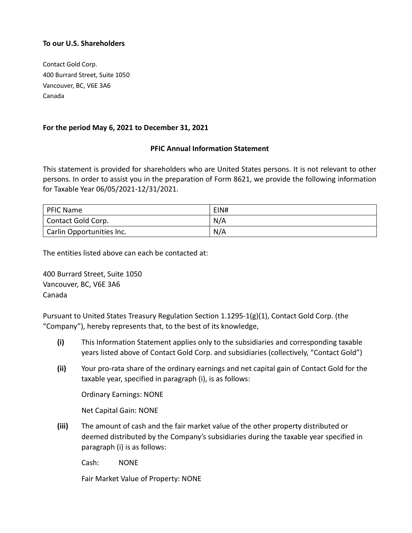## To our U.S. Shareholders

Contact Gold Corp. 400 Burrard Street, Suite 1050 Vancouver, BC, V6E 3A6 Canada

## For the period May 6, 2021 to December 31, 2021

## PFIC Annual Information Statement

This statement is provided for shareholders who are United States persons. It is not relevant to other persons. In order to assist you in the preparation of Form 8621, we provide the following information for Taxable Year 06/05/2021-12/31/2021.

| <sup>1</sup> PFIC Name    | EIN# |
|---------------------------|------|
| Contact Gold Corp.        | N/A  |
| Carlin Opportunities Inc. | N/A  |

The entities listed above can each be contacted at:

400 Burrard Street, Suite 1050 Vancouver, BC, V6E 3A6 Canada

Pursuant to United States Treasury Regulation Section 1.1295-1(g)(1), Contact Gold Corp. (the "Company"), hereby represents that, to the best of its knowledge,

- (i) This Information Statement applies only to the subsidiaries and corresponding taxable years listed above of Contact Gold Corp. and subsidiaries (collectively, "Contact Gold")
- (ii) Your pro-rata share of the ordinary earnings and net capital gain of Contact Gold for the taxable year, specified in paragraph (i), is as follows:

Ordinary Earnings: NONE

Net Capital Gain: NONE

(iii) The amount of cash and the fair market value of the other property distributed or deemed distributed by the Company's subsidiaries during the taxable year specified in paragraph (i) is as follows:

Cash: NONE

Fair Market Value of Property: NONE